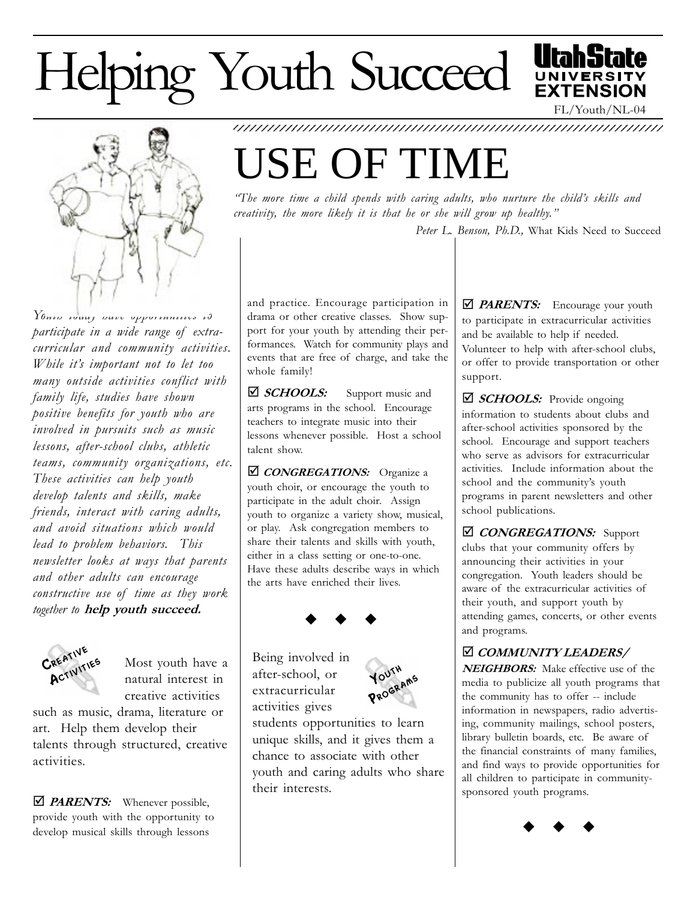## Helping Youth Succeed





 $Y$ Outh today have opportunities to participate in a wide range of extracurricular and community activities. While it's important not to let too many outside activities conflict with family life, studies have shown positive benefits for youth who are involved in pursuits such as music lessons, after-school clubs, athletic teams, community organizations, etc. These activities can help youth develop talents and skills, make friends, interact with caring adults, and avoid situations which would lead to problem behaviors. This newsletter looks at ways that parents and other adults can encourage constructive use of time as they work together to help youth succeed.



Most youth have a natural interest in creative activities

such as music, drama, literature or art. Help them develop their talents through structured, creative activities.

**Ø PARENTS:** Whenever possible, provide youth with the opportunity to develop musical skills through lessons

## USE OF TIME

"The more time a child spends with caring adults, who nurture the child's skills and creativity, the more likely it is that he or she will grow up healthy.

1234567890123456789012345678901212345678901234567890123456789012123456789 1234567890123456789012345678901212345678901234567890123456789012123456789

Peter L. Benson, Ph.D., What Kids Need to Succeed

and practice. Encourage participation in drama or other creative classes. Show support for your youth by attending their performances. Watch for community plays and events that are free of charge, and take the whole family!

⊠ SCHOOLS: Support music and arts programs in the school. Encourage teachers to integrate music into their lessons whenever possible. Host a school talent show.

**Ø CONGREGATIONS:** Organize a youth choir, or encourage the youth to participate in the adult choir. Assign youth to organize a variety show, musical, or play. Ask congregation members to share their talents and skills with youth, either in a class setting or one-to-one. Have these adults describe ways in which the arts have enriched their lives.



Being involved in after-school, or extracurricular activities gives



students opportunities to learn unique skills, and it gives them a chance to associate with other youth and caring adults who share their interests.

**D** PARENTS: Encourage your youth to participate in extracurricular activities and be available to help if needed. Volunteer to help with after-school clubs, or offer to provide transportation or other support.

 $\boxtimes$  SCHOOLS: Provide ongoing information to students about clubs and after-school activities sponsored by the school. Encourage and support teachers who serve as advisors for extracurricular activities. Include information about the school and the community's youth programs in parent newsletters and other school publications.

*CONGREGATIONS:* Support clubs that your community offers by announcing their activities in your congregation. Youth leaders should be aware of the extracurricular activities of their youth, and support youth by attending games, concerts, or other events and programs.

## þ COMMUNITY LEADERS/

NEIGHBORS: Make effective use of the media to publicize all youth programs that the community has to offer -- include information in newspapers, radio advertising, community mailings, school posters, library bulletin boards, etc. Be aware of the financial constraints of many families, and find ways to provide opportunities for all children to participate in communitysponsored youth programs.